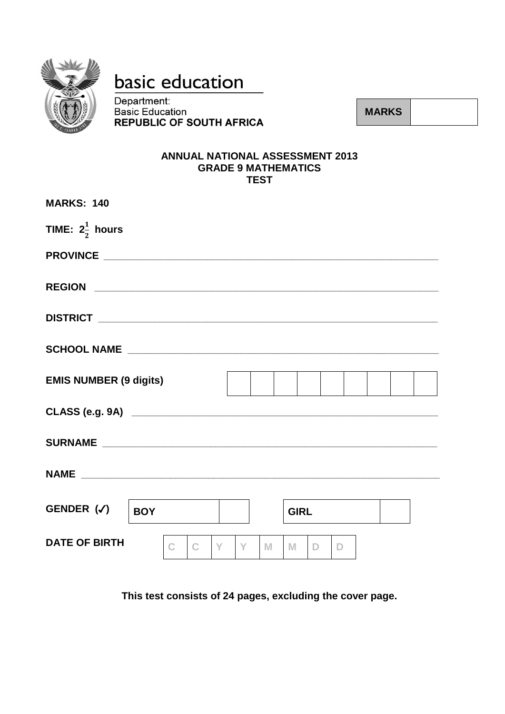

# basic education

Department: **Basic Education REPUBLIC OF SOUTH AFRICA** 

**MARKS**

#### **ANNUAL NATIONAL ASSESSMENT 2013 GRADE 9 MATHEMATICS TEST**

| <b>MARKS: 140</b>             |            |             |              |   |   |   |             |    |              |  |  |
|-------------------------------|------------|-------------|--------------|---|---|---|-------------|----|--------------|--|--|
| TIME: $2\frac{1}{2}$ hours    |            |             |              |   |   |   |             |    |              |  |  |
|                               |            |             |              |   |   |   |             |    |              |  |  |
|                               |            |             |              |   |   |   |             |    |              |  |  |
|                               |            |             |              |   |   |   |             |    |              |  |  |
|                               |            |             |              |   |   |   |             |    |              |  |  |
| <b>EMIS NUMBER (9 digits)</b> |            |             |              |   |   |   |             |    |              |  |  |
|                               |            |             |              |   |   |   |             |    |              |  |  |
|                               |            |             |              |   |   |   |             |    |              |  |  |
|                               |            |             |              |   |   |   |             |    |              |  |  |
| GENDER $(\checkmark)$         | <b>BOY</b> |             |              |   |   |   | <b>GIRL</b> |    |              |  |  |
| <b>DATE OF BIRTH</b>          |            | $\mathbf C$ | $\mathbb{C}$ | Y | Y | M | M           | D. | $\mathbb{D}$ |  |  |

**This test consists of 24 pages, excluding the cover page.**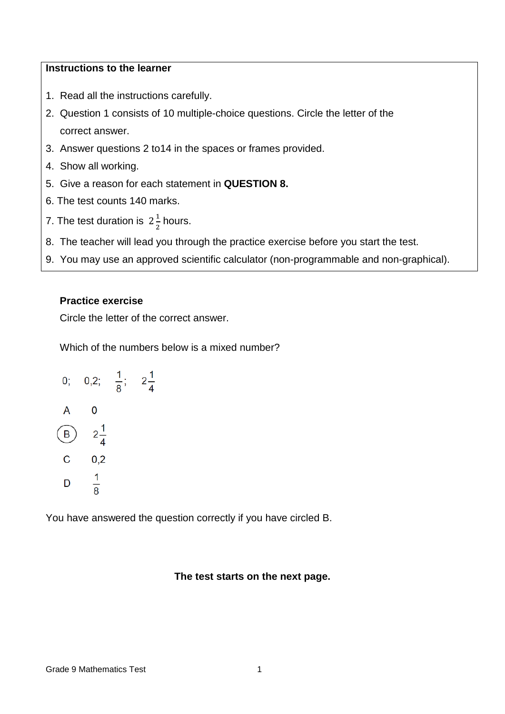#### **Instructions to the learner**

- 1. Read all the instructions carefully.
- 2. Question 1 consists of 10 multiple-choice questions. Circle the letter of the correct answer.
- 3. Answer questions 2 to14 in the spaces or frames provided.
- 4. Show all working.
- 5. Give a reason for each statement in **QUESTION 8.**
- 6. The test counts 140 marks.
- 7. The test duration is  $2\frac{1}{2}$  hours.
- 8. The teacher will lead you through the practice exercise before you start the test.
- 9. You may use an approved scientific calculator (non-programmable and non-graphical).

#### **Practice exercise**

Circle the letter of the correct answer.

Which of the numbers below is a mixed number?



You have answered the question correctly if you have circled B.

#### **The test starts on the next page.**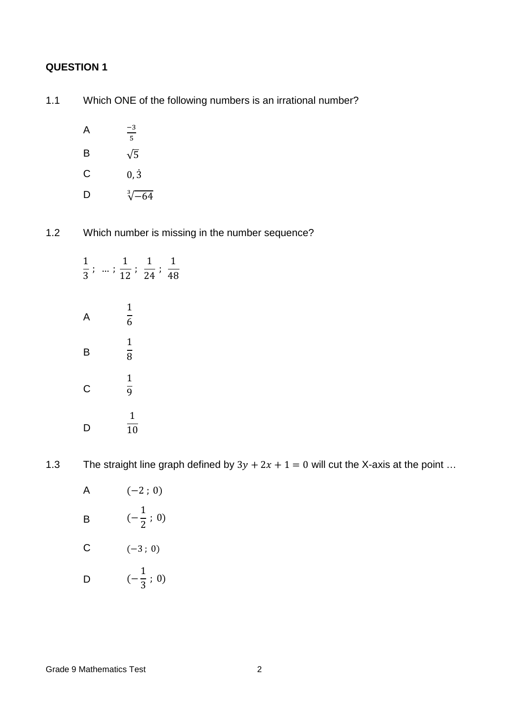- 1.1 Which ONE of the following numbers is an irrational number?
	- A  $\frac{-3}{2}$ 5 B  $\sqrt{5}$  $C$  0,  $\dot{3}$ D  $\sqrt[3]{-64}$
- 1.2 Which number is missing in the number sequence?

| $\frac{1}{3}$ ; | $\ldots$ ; $\frac{1}{12}$ ; $\frac{1}{24}$ ; | $\mathbf{1}$<br>48 |
|-----------------|----------------------------------------------|--------------------|
| A               | $\frac{1}{6}$                                |                    |
| B               | $\frac{1}{8}$                                |                    |
| C               | $rac{1}{9}$                                  |                    |
| D               | $\mathbf{1}$<br>$\overline{10}$              |                    |

1.3 The straight line graph defined by  $3y + 2x + 1 = 0$  will cut the X-axis at the point ...

| А | $(-2; 0)$                |
|---|--------------------------|
| B | $(-\frac{1}{2} \,; \,0)$ |
| С | $(-3; 0)$                |
| D | $(-\frac{1}{3}$ ; 0)     |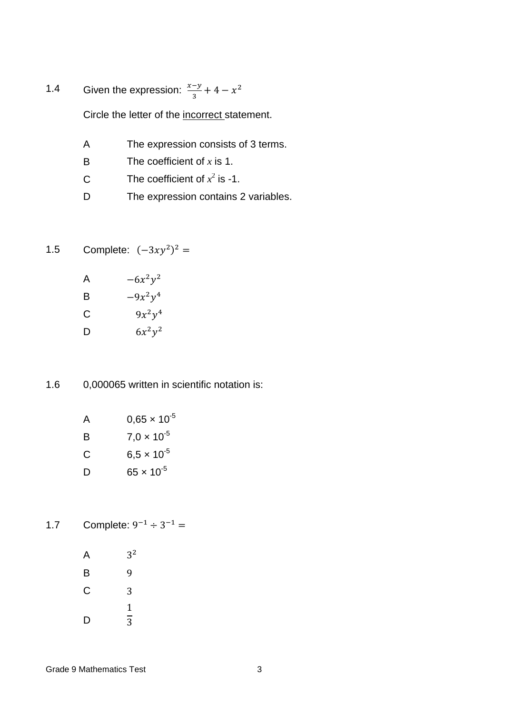1.4 Given the expression:  $\frac{x-y}{3} + 4 - x^2$ 

Circle the letter of the incorrect statement.

- A The expression consists of 3 terms.
- B The coefficient of *x* is 1.
- C The coefficient of  $x^2$  is -1.
- D The expression contains 2 variables.

1.5 Complete: 
$$
(-3xy^2)^2 =
$$

| A | $-6x^2y^2$ |
|---|------------|
| В | $-9x^2y^4$ |
| С | $9x^2y^4$  |
| D | $6x^2y^2$  |

1.6 0,000065 written in scientific notation is:

| А | $0,65 \times 10^{-5}$ |
|---|-----------------------|
| в | $7.0 \times 10^{-5}$  |
| C | $6.5 \times 10^{-5}$  |
| D | $65 \times 10^{-5}$   |

1.7 Complete:  $9^{-1} \div 3^{-1} =$ 

 $A$   $3^2$ B 9 C 3 D 1  $\overline{3}$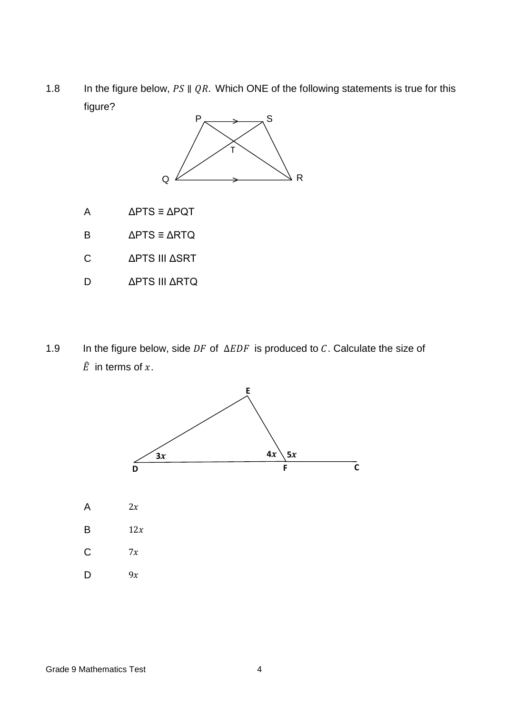1.8 In the figure below,  $PS \parallel QR$ . Which ONE of the following statements is true for this figure?



- A ΔPTS ≡ ΔPQT
- B ΔPTS ≡ ΔRTQ
- C ΔPTS III ΔSRT
- D ΔPTS III ΔRTQ
- 1.9 In the figure below, side DF of  $ΔEDF$  is produced to C. Calculate the size of  $\hat{E}$  in terms of x.

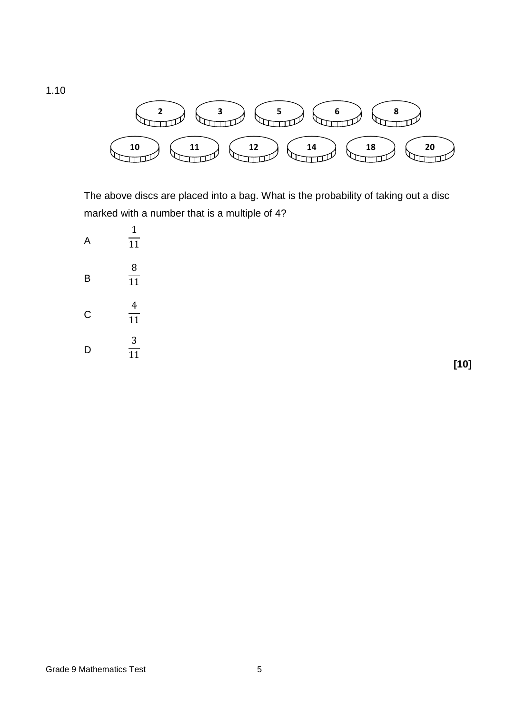$$
\begin{array}{|c|c|c|c|}\hline 2 & 3 & 5 & 6 & 8 \\ \hline \hline 10 & 11 & 11 & 12 & 14 & 18 & 18 \\ \hline \end{array}
$$

The above discs are placed into a bag. What is the probability of taking out a disc marked with a number that is a multiple of 4?



**[10]**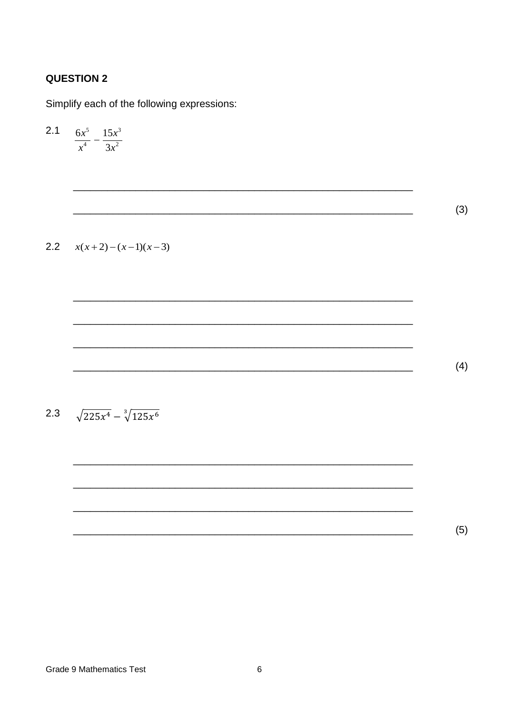Simplify each of the following expressions:

2.1 
$$
\frac{6x^5}{x^4} - \frac{15x^3}{3x^2}
$$

 $(3)$ 

# 2.2  $x(x+2)-(x-1)(x-3)$



# 2.3  $\sqrt{225x^4} - \sqrt[3]{125x^6}$

 $(5)$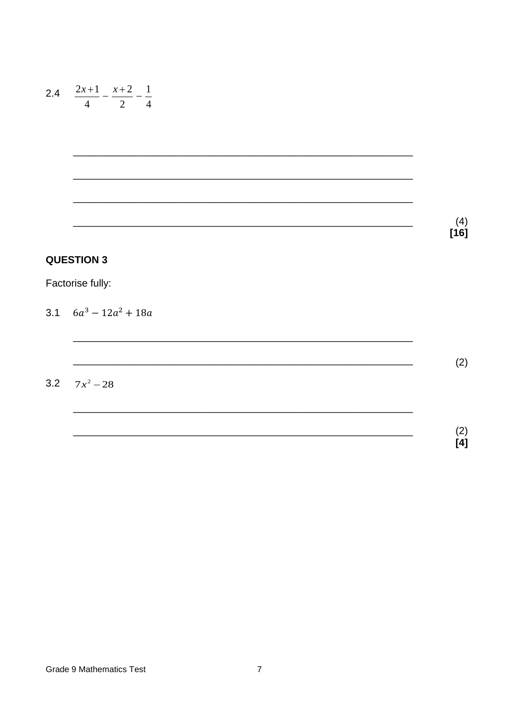2.4 
$$
\frac{2x+1}{4} - \frac{x+2}{2} - \frac{1}{4}
$$

Factorise fully:

3.1  $6a^3 - 12a^2 + 18a$ 

3.2  $7x^2 - 28$ 

 $(2)$  $\hat{[4]}$ 

 $(2)$ 

 $(4)$  $[16]$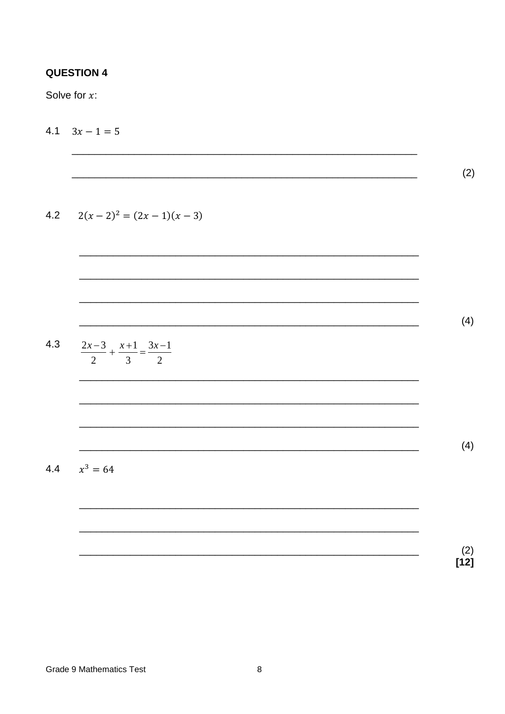Solve for  $x$ :

4.1  $3x - 1 = 5$ 

 $(2)$ 

4.2  $2(x-2)^2 = (2x-1)(x-3)$ 

 $(4)$  $4.3$  $\frac{2x-3}{2} + \frac{x+1}{3} = \frac{3x-1}{2}$  $(4)$  $4.4$  $x^3 = 64$ 

> $(2)$  $[12]$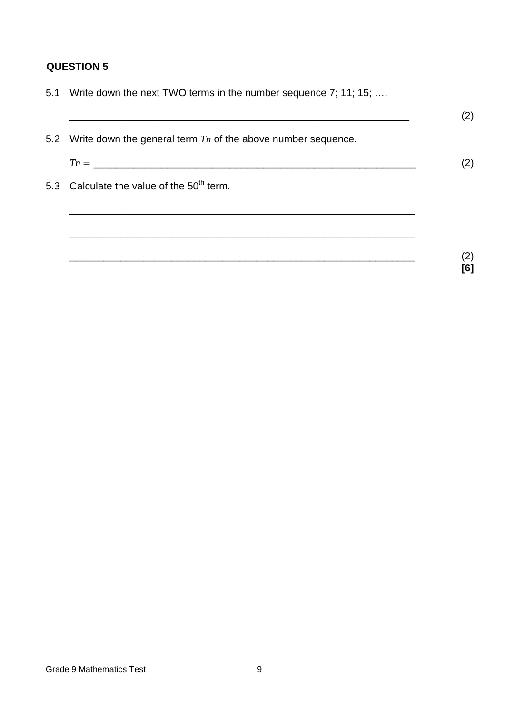5.1 Write down the next TWO terms in the number sequence 7; 11; 15; ….

|                                                                     | (2)            |
|---------------------------------------------------------------------|----------------|
| 5.2 Write down the general term $T_n$ of the above number sequence. |                |
| $Tn = \underline{\hspace{2cm}}$                                     |                |
| 5.3 Calculate the value of the 50 <sup>th</sup> term.               |                |
|                                                                     |                |
|                                                                     |                |
|                                                                     | $^{\prime}$ 2. |
|                                                                     | 6              |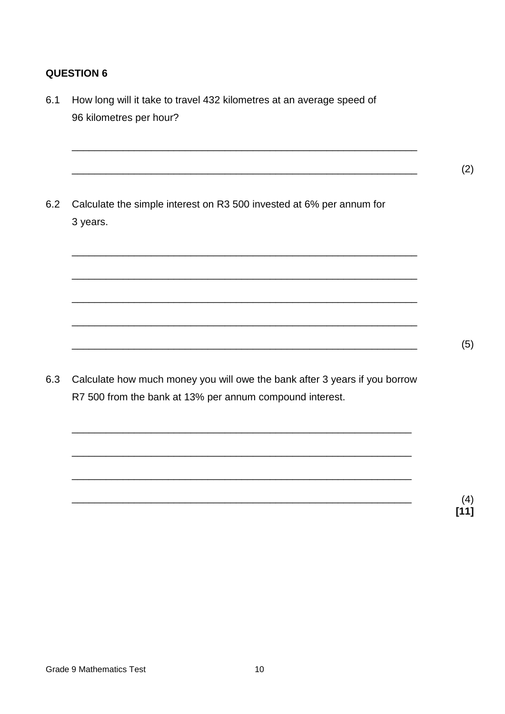6.1 How long will it take to travel 432 kilometres at an average speed of 96 kilometres per hour? \_\_\_\_\_\_\_\_\_\_\_\_\_\_\_\_\_\_\_\_\_\_\_\_\_\_\_\_\_\_\_\_\_\_\_\_\_\_\_\_\_\_\_\_\_\_\_\_\_\_\_\_\_\_\_\_\_\_\_\_\_ \_\_\_\_\_\_\_\_\_\_\_\_\_\_\_\_\_\_\_\_\_\_\_\_\_\_\_\_\_\_\_\_\_\_\_\_\_\_\_\_\_\_\_\_\_\_\_\_\_\_\_\_\_\_\_\_\_\_\_\_\_ (2) 6.2 Calculate the simple interest on R3 500 invested at 6% per annum for 3 years. \_\_\_\_\_\_\_\_\_\_\_\_\_\_\_\_\_\_\_\_\_\_\_\_\_\_\_\_\_\_\_\_\_\_\_\_\_\_\_\_\_\_\_\_\_\_\_\_\_\_\_\_\_\_\_\_\_\_\_\_\_ \_\_\_\_\_\_\_\_\_\_\_\_\_\_\_\_\_\_\_\_\_\_\_\_\_\_\_\_\_\_\_\_\_\_\_\_\_\_\_\_\_\_\_\_\_\_\_\_\_\_\_\_\_\_\_\_\_\_\_\_\_ \_\_\_\_\_\_\_\_\_\_\_\_\_\_\_\_\_\_\_\_\_\_\_\_\_\_\_\_\_\_\_\_\_\_\_\_\_\_\_\_\_\_\_\_\_\_\_\_\_\_\_\_\_\_\_\_\_\_\_\_\_ \_\_\_\_\_\_\_\_\_\_\_\_\_\_\_\_\_\_\_\_\_\_\_\_\_\_\_\_\_\_\_\_\_\_\_\_\_\_\_\_\_\_\_\_\_\_\_\_\_\_\_\_\_\_\_\_\_\_\_\_\_ \_\_\_\_\_\_\_\_\_\_\_\_\_\_\_\_\_\_\_\_\_\_\_\_\_\_\_\_\_\_\_\_\_\_\_\_\_\_\_\_\_\_\_\_\_\_\_\_\_\_\_\_\_\_\_\_\_\_\_\_\_ (5) 6.3 Calculate how much money you will owe the bank after 3 years if you borrow R7 500 from the bank at 13% per annum compound interest. \_\_\_\_\_\_\_\_\_\_\_\_\_\_\_\_\_\_\_\_\_\_\_\_\_\_\_\_\_\_\_\_\_\_\_\_\_\_\_\_\_\_\_\_\_\_\_\_\_\_\_\_\_\_\_\_\_\_\_\_ \_\_\_\_\_\_\_\_\_\_\_\_\_\_\_\_\_\_\_\_\_\_\_\_\_\_\_\_\_\_\_\_\_\_\_\_\_\_\_\_\_\_\_\_\_\_\_\_\_\_\_\_\_\_\_\_\_\_\_\_ \_\_\_\_\_\_\_\_\_\_\_\_\_\_\_\_\_\_\_\_\_\_\_\_\_\_\_\_\_\_\_\_\_\_\_\_\_\_\_\_\_\_\_\_\_\_\_\_\_\_\_\_\_\_\_\_\_\_\_\_  $\hspace{1.5cm} (4)$ 

**[11]**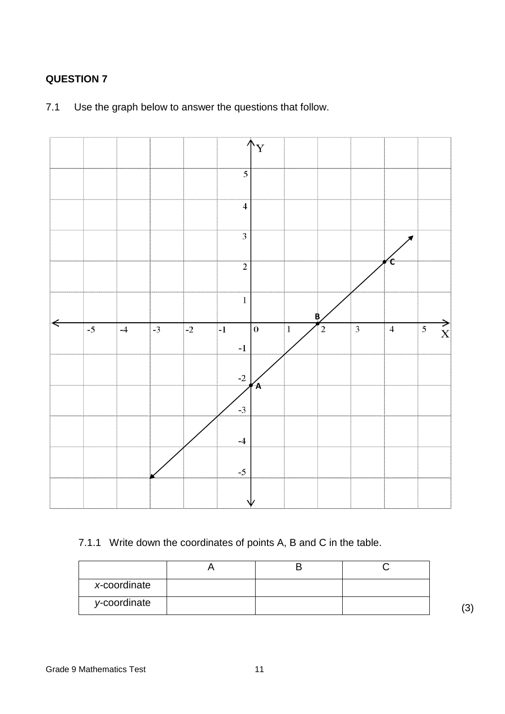7.1 Use the graph below to answer the questions that follow.



## 7.1.1 Write down the coordinates of points A, B and C in the table.

| x-coordinate |  |             |
|--------------|--|-------------|
| y-coordinate |  | $\sim$<br>ഄ |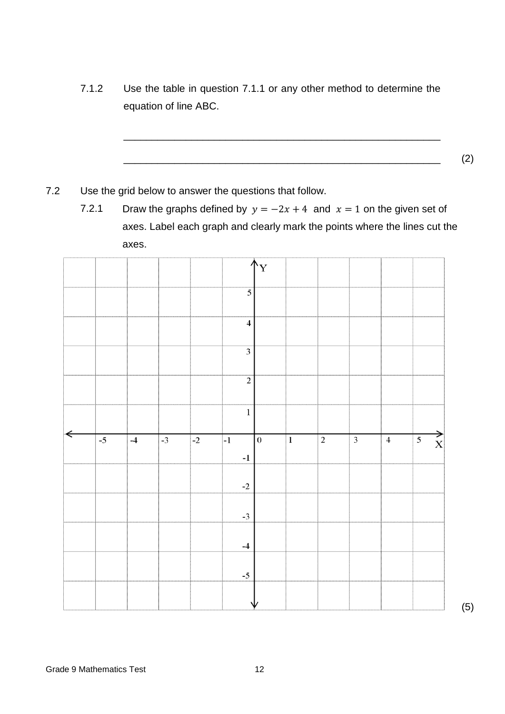7.1.2 Use the table in question 7.1.1 or any other method to determine the equation of line ABC.

\_\_\_\_\_\_\_\_\_\_\_\_\_\_\_\_\_\_\_\_\_\_\_\_\_\_\_\_\_\_\_\_\_\_\_\_\_\_\_\_\_\_\_\_\_\_\_\_\_\_\_\_\_\_\_\_

\_\_\_\_\_\_\_\_\_\_\_\_\_\_\_\_\_\_\_\_\_\_\_\_\_\_\_\_\_\_\_\_\_\_\_\_\_\_\_\_\_\_\_\_\_\_\_\_\_\_\_\_\_\_\_\_ (2)

- 7.2 Use the grid below to answer the questions that follow.
	- 7.2.1 Draw the graphs defined by  $y = -2x + 4$  and  $x = 1$  on the given set of axes. Label each graph and clearly mark the points where the lines cut the axes.

|   |      |      |      |            |                         | Ý                |         |            |                         |                |                                    |
|---|------|------|------|------------|-------------------------|------------------|---------|------------|-------------------------|----------------|------------------------------------|
|   |      |      |      |            |                         |                  |         |            |                         |                |                                    |
|   |      |      |      |            |                         |                  |         |            |                         |                |                                    |
|   |      |      |      |            | $\overline{5}$          |                  |         |            |                         |                |                                    |
|   |      |      |      |            |                         |                  |         |            |                         |                |                                    |
|   |      |      |      |            |                         |                  |         |            |                         |                |                                    |
|   |      |      |      |            |                         |                  |         |            |                         |                |                                    |
|   |      |      |      |            | $\overline{\mathbf{4}}$ |                  |         |            |                         |                |                                    |
|   |      |      |      |            |                         |                  |         |            |                         |                |                                    |
|   |      |      |      |            |                         |                  |         |            |                         |                |                                    |
|   |      |      |      |            | $\overline{3}$          |                  |         |            |                         |                |                                    |
|   |      |      |      |            |                         |                  |         |            |                         |                |                                    |
|   |      |      |      |            |                         |                  |         |            |                         |                |                                    |
|   |      |      |      |            | $\overline{2}$          |                  |         |            |                         |                |                                    |
|   |      |      |      |            |                         |                  |         |            |                         |                |                                    |
|   |      |      |      |            |                         |                  |         |            |                         |                |                                    |
|   |      |      |      |            |                         |                  |         |            |                         |                |                                    |
|   |      |      |      |            | $\mathbf 1$             |                  |         |            |                         |                |                                    |
|   |      |      |      |            |                         |                  |         |            |                         |                |                                    |
|   |      |      |      |            |                         |                  |         |            |                         |                |                                    |
|   |      |      |      |            |                         |                  |         |            |                         |                |                                    |
| ← |      |      |      |            |                         |                  |         |            |                         |                |                                    |
|   | $-5$ | $-4$ | $-3$ | $\vert$ -2 | $ -1 $                  | $\boldsymbol{0}$ | $\bf 1$ | $\sqrt{2}$ | $\overline{\mathbf{3}}$ | $\overline{4}$ | $\overrightarrow{X}$<br>$\sqrt{5}$ |
|   |      |      |      |            |                         |                  |         |            |                         |                |                                    |
|   |      |      |      |            | $-1$                    |                  |         |            |                         |                |                                    |
|   |      |      |      |            |                         |                  |         |            |                         |                |                                    |
|   |      |      |      |            |                         |                  |         |            |                         |                |                                    |
|   |      |      |      |            | $\textnormal{-}2$       |                  |         |            |                         |                |                                    |
|   |      |      |      |            |                         |                  |         |            |                         |                |                                    |
|   |      |      |      |            |                         |                  |         |            |                         |                |                                    |
|   |      |      |      |            | $-3$                    |                  |         |            |                         |                |                                    |
|   |      |      |      |            |                         |                  |         |            |                         |                |                                    |
|   |      |      |      |            |                         |                  |         |            |                         |                |                                    |
|   |      |      |      |            |                         |                  |         |            |                         |                |                                    |
|   |      |      |      |            | $-4$                    |                  |         |            |                         |                |                                    |
|   |      |      |      |            |                         |                  |         |            |                         |                |                                    |
|   |      |      |      |            |                         |                  |         |            |                         |                |                                    |
|   |      |      |      |            | $-5$                    |                  |         |            |                         |                |                                    |
|   |      |      |      |            |                         |                  |         |            |                         |                |                                    |
|   |      |      |      |            |                         |                  |         |            |                         |                |                                    |
|   |      |      |      |            |                         |                  |         |            |                         |                |                                    |

(5)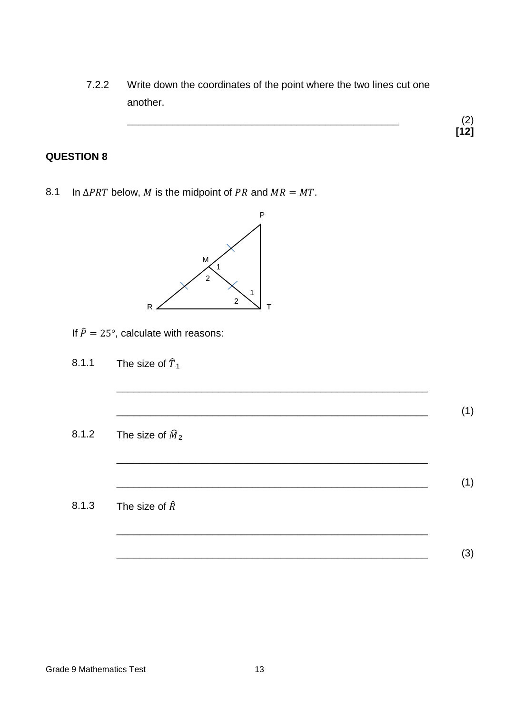7.2.2 Write down the coordinates of the point where the two lines cut one another.

> \_\_\_\_\_\_\_\_\_\_\_\_\_\_\_\_\_\_\_\_\_\_\_\_\_\_\_\_\_\_\_\_\_\_\_\_\_\_\_\_\_\_\_\_\_\_\_\_ (2) **[12]**

#### **QUESTION 8**

8.1 In  $\triangle PRT$  below, *M* is the midpoint of *PR* and  $MR = MT$ .



- If  $\hat{P} = 25^{\circ}$ , calculate with reasons:
- 8.1.1 The size of  $\widehat{T}_{4}$
- \_\_\_\_\_\_\_\_\_\_\_\_\_\_\_\_\_\_\_\_\_\_\_\_\_\_\_\_\_\_\_\_\_\_\_\_\_\_\_\_\_\_\_\_\_\_\_\_\_\_\_\_\_\_\_ (1) 8.1.2 The size of  $\widehat{M}_2$ \_\_\_\_\_\_\_\_\_\_\_\_\_\_\_\_\_\_\_\_\_\_\_\_\_\_\_\_\_\_\_\_\_\_\_\_\_\_\_\_\_\_\_\_\_\_\_\_\_\_\_\_\_\_\_ \_\_\_\_\_\_\_\_\_\_\_\_\_\_\_\_\_\_\_\_\_\_\_\_\_\_\_\_\_\_\_\_\_\_\_\_\_\_\_\_\_\_\_\_\_\_\_\_\_\_\_\_\_\_\_ (1) 8.1.3 The size of  $\hat{R}$ \_\_\_\_\_\_\_\_\_\_\_\_\_\_\_\_\_\_\_\_\_\_\_\_\_\_\_\_\_\_\_\_\_\_\_\_\_\_\_\_\_\_\_\_\_\_\_\_\_\_\_\_\_\_\_ \_\_\_\_\_\_\_\_\_\_\_\_\_\_\_\_\_\_\_\_\_\_\_\_\_\_\_\_\_\_\_\_\_\_\_\_\_\_\_\_\_\_\_\_\_\_\_\_\_\_\_\_\_\_\_ (3)

\_\_\_\_\_\_\_\_\_\_\_\_\_\_\_\_\_\_\_\_\_\_\_\_\_\_\_\_\_\_\_\_\_\_\_\_\_\_\_\_\_\_\_\_\_\_\_\_\_\_\_\_\_\_\_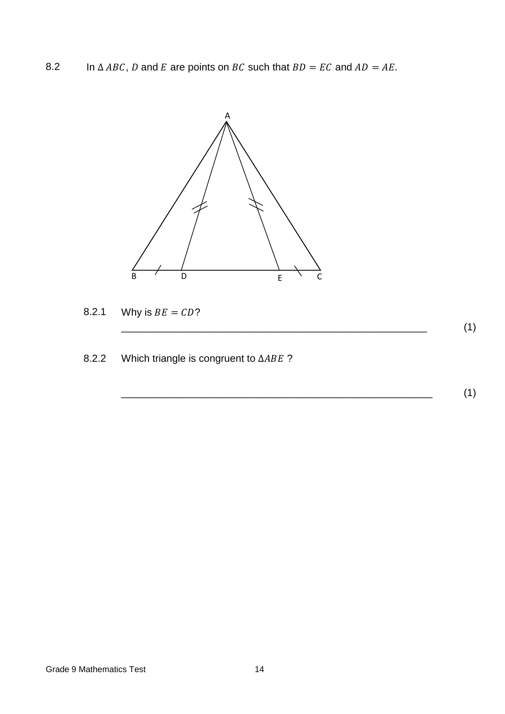8.2 In  $\triangle ABC$ , D and E are points on BC such that  $BD = EC$  and  $AD = AE$ .



\_\_\_\_\_\_\_\_\_\_\_\_\_\_\_\_\_\_\_\_\_\_\_\_\_\_\_\_\_\_\_\_\_\_\_\_\_\_\_\_\_\_\_\_\_\_\_\_\_\_\_\_\_\_ (1)

\_\_\_\_\_\_\_\_\_\_\_\_\_\_\_\_\_\_\_\_\_\_\_\_\_\_\_\_\_\_\_\_\_\_\_\_\_\_\_\_\_\_\_\_\_\_\_\_\_\_\_\_\_\_\_ (1)

- 8.2.1 Why is  $BE = CD$ ?
- 8.2.2 Which triangle is congruent to ∆ABE ?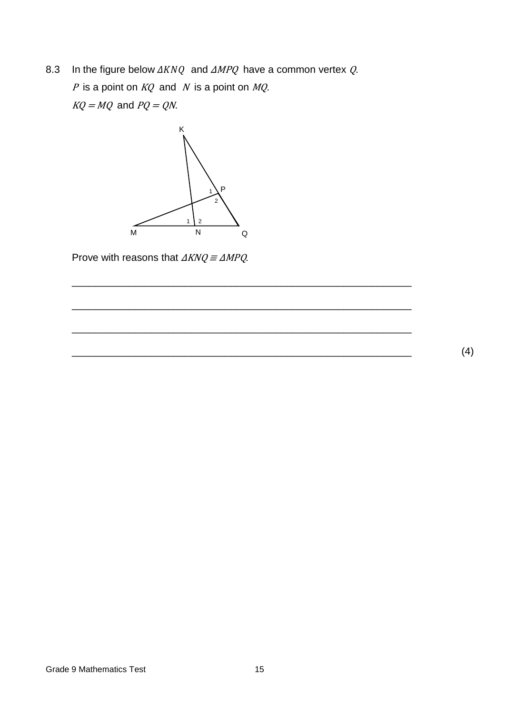8.3 In the figure below  $\Delta KNQ$  and  $\Delta MPQ$  have a common vertex Q. P is a point on  $KQ$  and N is a point on  $MQ$ .  $KQ = MQ$  and  $PQ = QN$ .



\_\_\_\_\_\_\_\_\_\_\_\_\_\_\_\_\_\_\_\_\_\_\_\_\_\_\_\_\_\_\_\_\_\_\_\_\_\_\_\_\_\_\_\_\_\_\_\_\_\_\_\_\_\_\_\_\_\_\_\_

\_\_\_\_\_\_\_\_\_\_\_\_\_\_\_\_\_\_\_\_\_\_\_\_\_\_\_\_\_\_\_\_\_\_\_\_\_\_\_\_\_\_\_\_\_\_\_\_\_\_\_\_\_\_\_\_\_\_\_\_

\_\_\_\_\_\_\_\_\_\_\_\_\_\_\_\_\_\_\_\_\_\_\_\_\_\_\_\_\_\_\_\_\_\_\_\_\_\_\_\_\_\_\_\_\_\_\_\_\_\_\_\_\_\_\_\_\_\_\_\_

Prove with reasons that ΔKNQ ≡ ΔMPQ*.*

\_\_\_\_\_\_\_\_\_\_\_\_\_\_\_\_\_\_\_\_\_\_\_\_\_\_\_\_\_\_\_\_\_\_\_\_\_\_\_\_\_\_\_\_\_\_\_\_\_\_\_\_\_\_\_\_\_\_\_\_ (4)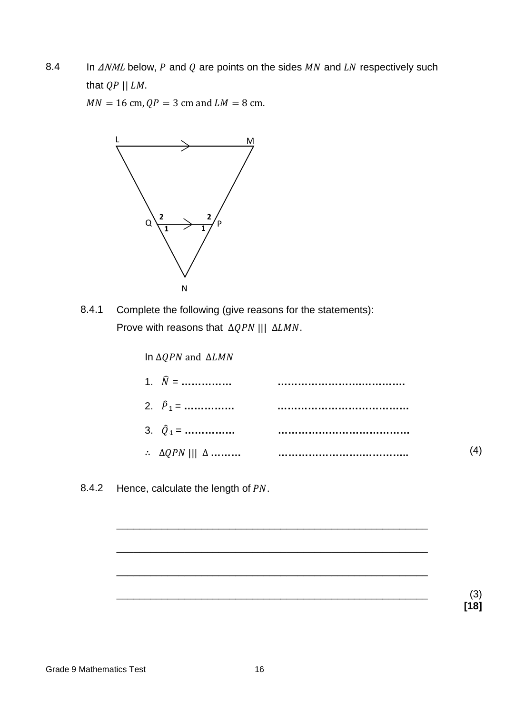8.4 In  $\Delta NML$  below, P and Q are points on the sides  $MN$  and LN respectively such that  $QP$  ||  $LM$ .

 $MN = 16$  cm,  $QP = 3$  cm and  $LM = 8$  cm.



8.4.1 Complete the following (give reasons for the statements): Prove with reasons that  $\Delta QPN$  |||  $\Delta LMN$ .

In  $\triangle QPN$  and  $\triangle LMN$ 

\_\_\_\_\_\_\_\_\_\_\_\_\_\_\_\_\_\_\_\_\_\_\_\_\_\_\_\_\_\_\_\_\_\_\_\_\_\_\_\_\_\_\_\_\_\_\_\_\_\_\_\_\_\_\_

\_\_\_\_\_\_\_\_\_\_\_\_\_\_\_\_\_\_\_\_\_\_\_\_\_\_\_\_\_\_\_\_\_\_\_\_\_\_\_\_\_\_\_\_\_\_\_\_\_\_\_\_\_\_\_

\_\_\_\_\_\_\_\_\_\_\_\_\_\_\_\_\_\_\_\_\_\_\_\_\_\_\_\_\_\_\_\_\_\_\_\_\_\_\_\_\_\_\_\_\_\_\_\_\_\_\_\_\_\_\_

8.4.2 Hence, calculate the length of  $PN$ .

\_\_\_\_\_\_\_\_\_\_\_\_\_\_\_\_\_\_\_\_\_\_\_\_\_\_\_\_\_\_\_\_\_\_\_\_\_\_\_\_\_\_\_\_\_\_\_\_\_\_\_\_\_\_\_ (3) **[18]**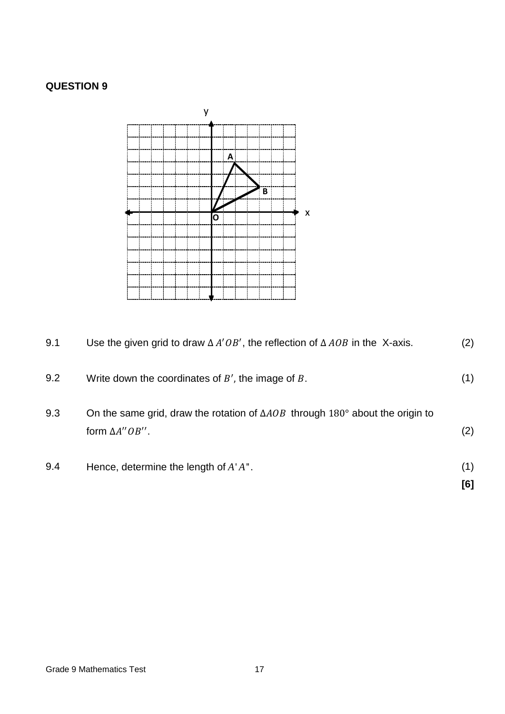

|     |                                                                                                                    | [6] |
|-----|--------------------------------------------------------------------------------------------------------------------|-----|
| 9.4 | Hence, determine the length of $A'A$ ".                                                                            | (1) |
| 9.3 | On the same grid, draw the rotation of $\triangle AOB$ through 180° about the origin to<br>form $\Delta A''OB''$ . | (2) |
| 9.2 | Write down the coordinates of $B'$ , the image of $B$ .                                                            | (1) |
| 9.1 | Use the given grid to draw $\Delta A'OB'$ , the reflection of $\Delta AOB$ in the X-axis.                          | (2) |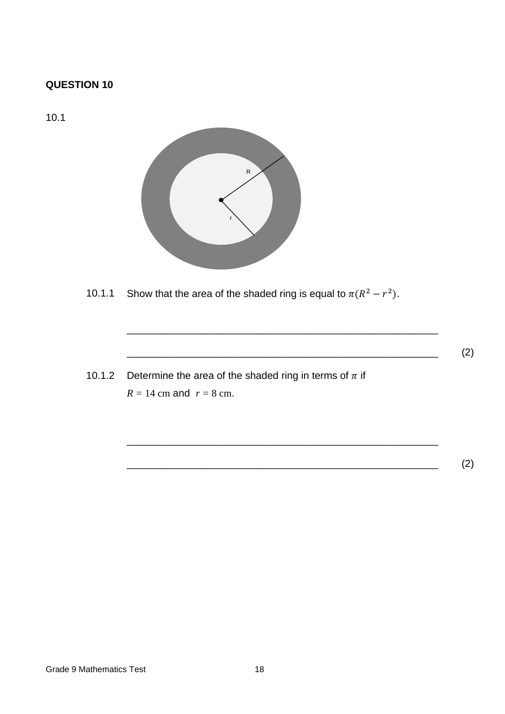10.1



10.1.1 Show that the area of the shaded ring is equal to  $\pi(R^2 - r^2)$ .

\_\_\_\_\_\_\_\_\_\_\_\_\_\_\_\_\_\_\_\_\_\_\_\_\_\_\_\_\_\_\_\_\_\_\_\_\_\_\_\_\_\_\_\_\_\_\_\_\_\_\_\_\_\_\_

\_\_\_\_\_\_\_\_\_\_\_\_\_\_\_\_\_\_\_\_\_\_\_\_\_\_\_\_\_\_\_\_\_\_\_\_\_\_\_\_\_\_\_\_\_\_\_\_\_\_\_\_\_\_\_

\_\_\_\_\_\_\_\_\_\_\_\_\_\_\_\_\_\_\_\_\_\_\_\_\_\_\_\_\_\_\_\_\_\_\_\_\_\_\_\_\_\_\_\_\_\_\_\_\_\_\_\_\_\_\_ (2)

10.1.2 Determine the area of the shaded ring in terms of  $\pi$  if  $R = 14$  cm and  $r = 8$  cm.

\_\_\_\_\_\_\_\_\_\_\_\_\_\_\_\_\_\_\_\_\_\_\_\_\_\_\_\_\_\_\_\_\_\_\_\_\_\_\_\_\_\_\_\_\_\_\_\_\_\_\_\_\_\_\_ (2)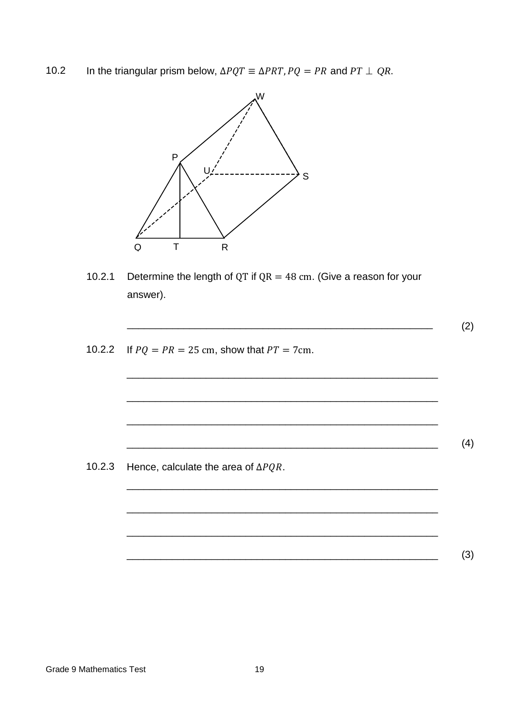$10.2$ In the triangular prism below,  $\Delta PQT \equiv \Delta PRT$ ,  $PQ = PR$  and  $PT \perp QR$ .



- $10.2.1$ Determine the length of QT if  $QR = 48$  cm. (Give a reason for your answer).
- 10.2.2 If  $PQ = PR = 25$  cm, show that  $PT = 7$ cm.

 $(4)$ 

 $(3)$ 

 $(2)$ 

10.2.3 Hence, calculate the area of  $\triangle PQR$ .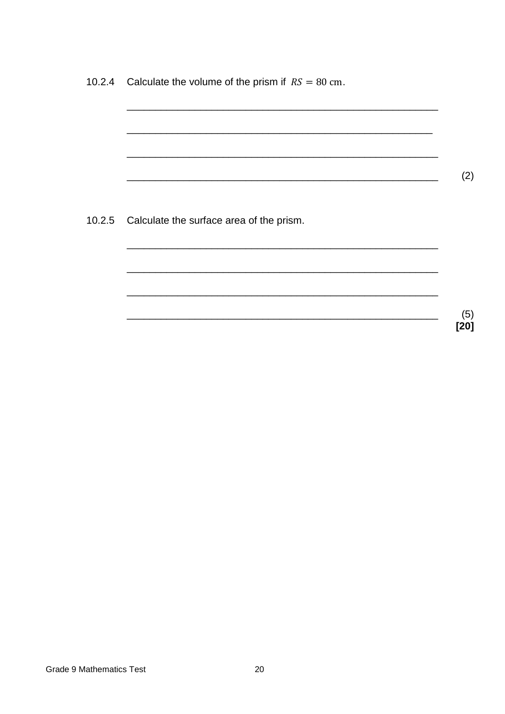10.2.4 Calculate the volume of the prism if  $RS = 80$  cm.  $(2)$ <u> 2000 - Jan James James Barnett, amerikan bahasa perangan perangan perangan perangan perangan perangan perang</u> 10.2.5 Calculate the surface area of the prism.  $(5)$  $\overline{[20]}$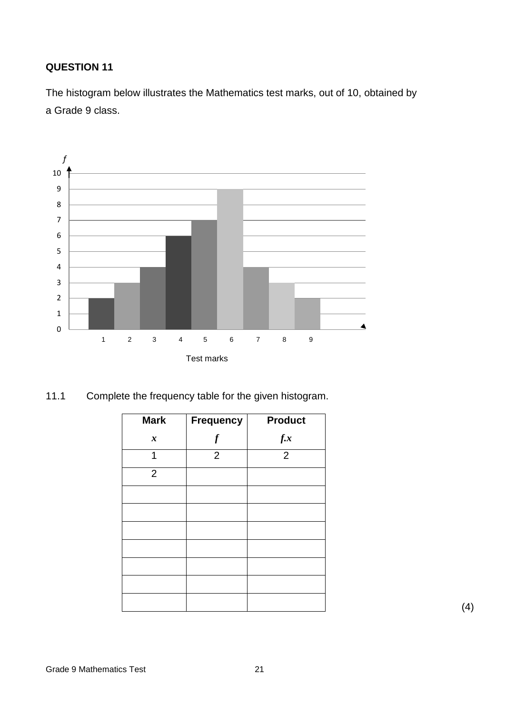The histogram below illustrates the Mathematics test marks, out of 10, obtained by a Grade 9 class.



11.1 Complete the frequency table for the given histogram.

| <b>Mark</b>         | <b>Frequency</b> | <b>Product</b> |
|---------------------|------------------|----------------|
| $\pmb{\mathcal{X}}$ | $\boldsymbol{f}$ | f.x            |
| 1                   | $\overline{2}$   | $\overline{2}$ |
| $\overline{2}$      |                  |                |
|                     |                  |                |
|                     |                  |                |
|                     |                  |                |
|                     |                  |                |
|                     |                  |                |
|                     |                  |                |
|                     |                  |                |

(4)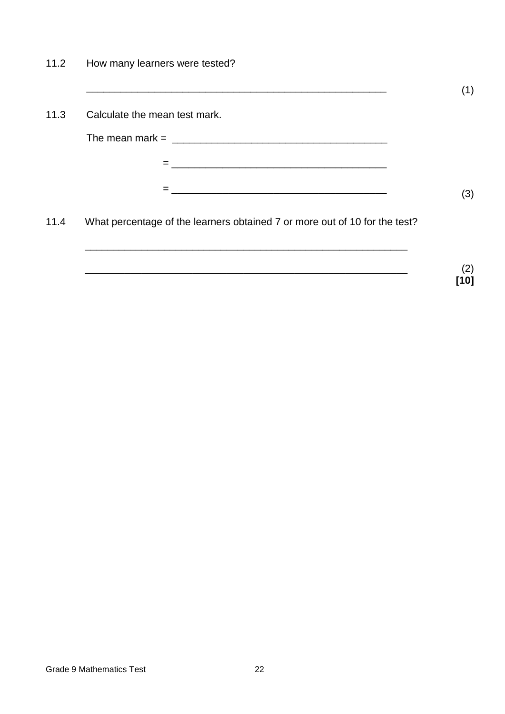| 11.2 | How many learners were tested? |
|------|--------------------------------|
|------|--------------------------------|

| Calculate the mean test mark.                                              |
|----------------------------------------------------------------------------|
|                                                                            |
|                                                                            |
| <u> 1989 - Johann Barbara, margaret eta idazlearia (h. 1989).</u>          |
| <u> 1989 - Johann Stoff, amerikansk politiker (d. 1989)</u>                |
|                                                                            |
| What percentage of the learners obtained 7 or more out of 10 for the test? |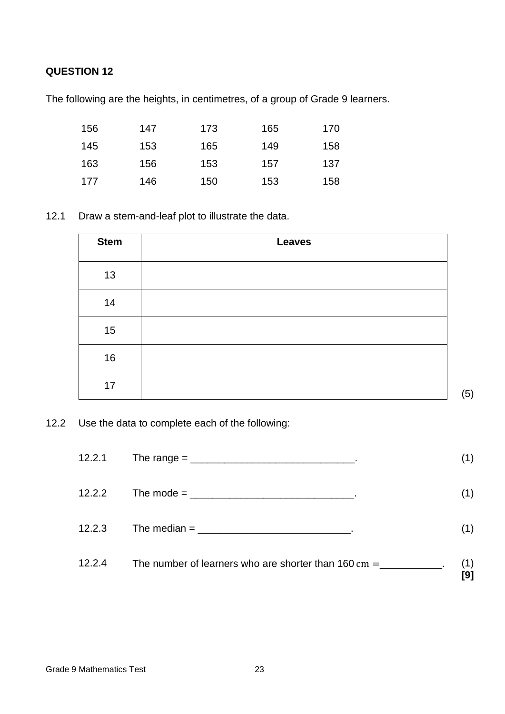The following are the heights, in centimetres, of a group of Grade 9 learners.

| 156 | 147 | 173 | 165 | 170 |
|-----|-----|-----|-----|-----|
| 145 | 153 | 165 | 149 | 158 |
| 163 | 156 | 153 | 157 | 137 |
| 177 | 146 | 150 | 153 | 158 |

12.1 Draw a stem-and-leaf plot to illustrate the data.

| <b>Stem</b> | <b>Leaves</b> |
|-------------|---------------|
| 13          |               |
| 14          |               |
| 15          |               |
| 16          |               |
| 17          |               |

12.2 Use the data to complete each of the following:

| 12.2.1 | The range = $\frac{1}{2}$ The range = $\frac{1}{2}$            | (1)               |
|--------|----------------------------------------------------------------|-------------------|
| 12.2.2 | The mode = $\sqrt{2\pi}$                                       | (1)               |
| 12.2.3 | The median $=$                                                 | (1)               |
| 12.2.4 | The number of learners who are shorter than $160 \text{ cm} =$ | (1)<br><b>[9]</b> |

(5)